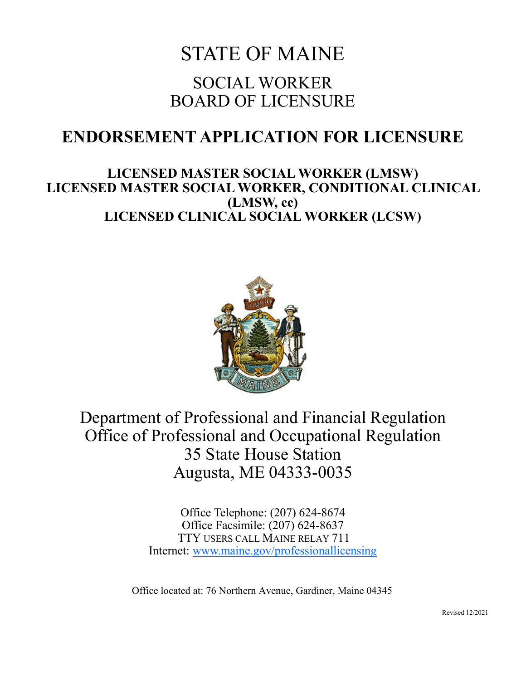# STATE OF MAINE SOCIAL WORKER BOARD OF LICENSURE

## **ENDORSEMENT APPLICATION FOR LICENSURE**

### **LICENSED MASTER SOCIAL WORKER (LMSW) LICENSED MASTER SOCIAL WORKER, CONDITIONAL CLINICAL (LMSW, cc) LICENSED CLINICAL SOCIAL WORKER (LCSW)**



Department of Professional and Financial Regulation Office of Professional and Occupational Regulation 35 State House Station Augusta, ME 04333-0035

> Office Telephone: (207) 624-8674 Office Facsimile: (207) 624-8637 TTY USERS CALL MAINE RELAY 711 Internet: [www.maine.gov/professionallicensing](http://www.maine.gov/professionallicensing)

Office located at: 76 Northern Avenue, Gardiner, Maine 04345

Revised 12/2021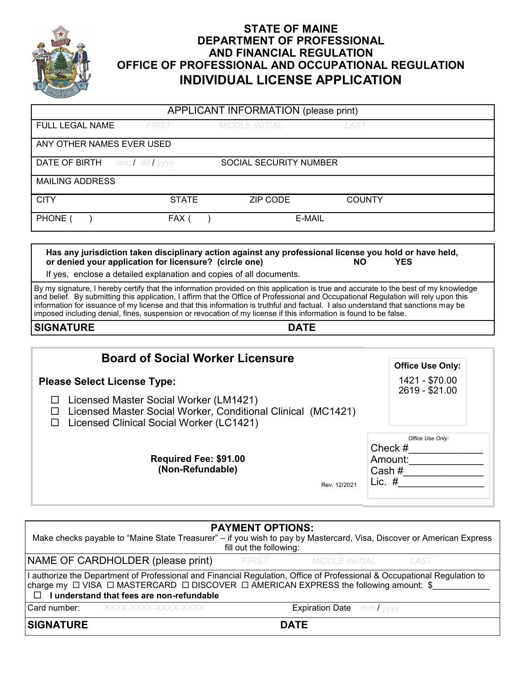

#### **STATE OF MAINE DEPARTMENT OF PROFESSIONAL AND FINANCIAL REGULATION OFFICE OF PROFESSIONAL AND OCCUPATIONAL REGULATION INDIVIDUAL LICENSE APPLICATION**

| APPLICANT INFORMATION (please print)                   |              |                                                                     |                                                                                                                      |  |  |  |  |
|--------------------------------------------------------|--------------|---------------------------------------------------------------------|----------------------------------------------------------------------------------------------------------------------|--|--|--|--|
| FULL LEGAL NAME                                        | FIRST        | <i>MIDDLE INITIAL</i>                                               | LAST                                                                                                                 |  |  |  |  |
| ANY OTHER NAMES EVER USED                              |              |                                                                     |                                                                                                                      |  |  |  |  |
| <b>DATE OF BIRTH</b> $mm /$ dd $/$ yyyy                |              | <b>SOCIAL SECURITY NUMBER</b>                                       |                                                                                                                      |  |  |  |  |
| <b>MAILING ADDRESS</b>                                 |              |                                                                     |                                                                                                                      |  |  |  |  |
| <b>CITY</b>                                            | <b>STATE</b> | ZIP CODE                                                            | <b>COUNTY</b>                                                                                                        |  |  |  |  |
| PHONE                                                  | FAX (        |                                                                     | E-MAIL                                                                                                               |  |  |  |  |
|                                                        |              |                                                                     |                                                                                                                      |  |  |  |  |
| or denied your application for licensure? (circle one) |              |                                                                     | Has any jurisdiction taken disciplinary action against any professional license you hold or have held,<br>NO.<br>YES |  |  |  |  |
|                                                        |              | If yes, enclose a detailed explanation and copies of all documents. |                                                                                                                      |  |  |  |  |

By my signature, I hereby certify that the information provided on this application is true and accurate to the best of my knowledge and belief. By submitting this application, I affirm that the Office of Professional and Occupational Regulation will rely upon this information for issuance of my license and that this information is truthful and factual. I also understand that sanctions may be imposed including denial, fines, suspension or revocation of my license if this information is found to be false.

#### **SIGNATURE DATE**

| <b>Board of Social Worker Licensure</b>                                                                                                                                                                                                                                                     |                                                                |  |
|---------------------------------------------------------------------------------------------------------------------------------------------------------------------------------------------------------------------------------------------------------------------------------------------|----------------------------------------------------------------|--|
|                                                                                                                                                                                                                                                                                             | <b>Office Use Only:</b>                                        |  |
| <b>Please Select License Type:</b>                                                                                                                                                                                                                                                          | 1421 - \$70.00<br>2619 - \$21.00                               |  |
| Licensed Master Social Worker (LM1421)<br>Licensed Master Social Worker, Conditional Clinical (MC1421)<br>□<br>Licensed Clinical Social Worker (LC1421)<br>П                                                                                                                                |                                                                |  |
| Required Fee: \$91.00<br>(Non-Refundable)<br>Rev. 12/2021                                                                                                                                                                                                                                   | Office Use Only:<br>Check $#$<br>Amount:<br>Cash #<br>Lic. $#$ |  |
| <b>PAYMENT OPTIONS:</b><br>Make checks payable to "Maine State Treasurer" – if you wish to pay by Mastercard, Visa, Discover or American Express<br>fill out the following:                                                                                                                 |                                                                |  |
|                                                                                                                                                                                                                                                                                             |                                                                |  |
| NAME OF CARDHOLDER (please print)<br>FIRST<br>MIDDLE INITIAL                                                                                                                                                                                                                                | <b>LAST</b>                                                    |  |
| I authorize the Department of Professional and Financial Regulation, Office of Professional & Occupational Regulation to<br>charge my $\Box$ VISA $\Box$ MASTERCARD $\Box$ DISCOVER $\Box$ AMERICAN EXPRESS the following amount: \$<br>I understand that fees are non-refundable<br>$\Box$ |                                                                |  |
| Card number:<br><b>Expiration Date</b><br>XXXX-XXXX-XXXX-XXXX                                                                                                                                                                                                                               | mm I vyvy                                                      |  |
| <b>SIGNATURE</b><br><b>DATE</b>                                                                                                                                                                                                                                                             |                                                                |  |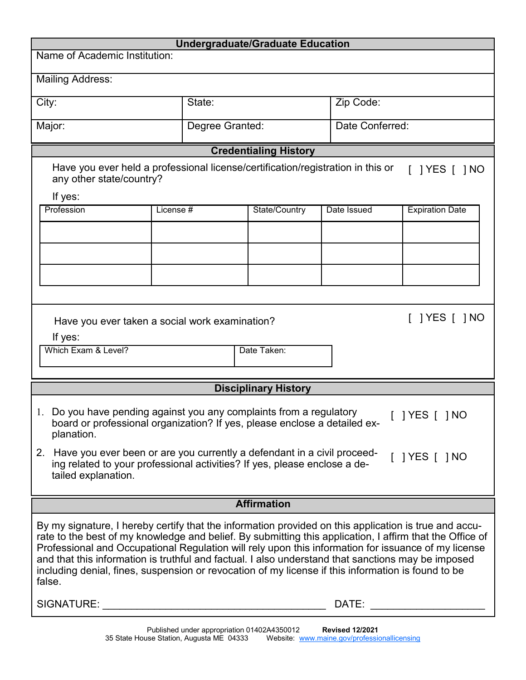| <b>Undergraduate/Graduate Education</b>                                                                                                                                                                                                                                                                                                                                                                                                                                                                                                        |           |                 |                              |             |                              |  |
|------------------------------------------------------------------------------------------------------------------------------------------------------------------------------------------------------------------------------------------------------------------------------------------------------------------------------------------------------------------------------------------------------------------------------------------------------------------------------------------------------------------------------------------------|-----------|-----------------|------------------------------|-------------|------------------------------|--|
| Name of Academic Institution:                                                                                                                                                                                                                                                                                                                                                                                                                                                                                                                  |           |                 |                              |             |                              |  |
| <b>Mailing Address:</b>                                                                                                                                                                                                                                                                                                                                                                                                                                                                                                                        |           |                 |                              |             |                              |  |
| City:<br>State:                                                                                                                                                                                                                                                                                                                                                                                                                                                                                                                                |           |                 |                              | Zip Code:   |                              |  |
| Major:                                                                                                                                                                                                                                                                                                                                                                                                                                                                                                                                         |           | Degree Granted: |                              |             | Date Conferred:              |  |
|                                                                                                                                                                                                                                                                                                                                                                                                                                                                                                                                                |           |                 | <b>Credentialing History</b> |             |                              |  |
| Have you ever held a professional license/certification/registration in this or<br>any other state/country?                                                                                                                                                                                                                                                                                                                                                                                                                                    |           |                 |                              |             | $\lceil$   YES $\lceil$   NO |  |
| If yes:<br>Profession                                                                                                                                                                                                                                                                                                                                                                                                                                                                                                                          | License # |                 |                              |             |                              |  |
|                                                                                                                                                                                                                                                                                                                                                                                                                                                                                                                                                |           |                 | State/Country                | Date Issued | <b>Expiration Date</b>       |  |
|                                                                                                                                                                                                                                                                                                                                                                                                                                                                                                                                                |           |                 |                              |             |                              |  |
|                                                                                                                                                                                                                                                                                                                                                                                                                                                                                                                                                |           |                 |                              |             |                              |  |
|                                                                                                                                                                                                                                                                                                                                                                                                                                                                                                                                                |           |                 |                              |             |                              |  |
|                                                                                                                                                                                                                                                                                                                                                                                                                                                                                                                                                |           |                 |                              |             |                              |  |
|                                                                                                                                                                                                                                                                                                                                                                                                                                                                                                                                                |           |                 |                              |             |                              |  |
| $\lceil$   YES $\lceil$   NO<br>Have you ever taken a social work examination?<br>If yes:<br>Which Exam & Level?<br>Date Taken:                                                                                                                                                                                                                                                                                                                                                                                                                |           |                 |                              |             |                              |  |
|                                                                                                                                                                                                                                                                                                                                                                                                                                                                                                                                                |           |                 | <b>Disciplinary History</b>  |             |                              |  |
| 1. Do you have pending against you any complaints from a regulatory<br>$[$ ] YES $[$ ] NO<br>board or professional organization? If yes, please enclose a detailed ex-<br>planation.<br>2. Have you ever been or are you currently a defendant in a civil proceed-<br>$[$   YES $[$   NO<br>ing related to your professional activities? If yes, please enclose a de-                                                                                                                                                                          |           |                 |                              |             |                              |  |
| tailed explanation.                                                                                                                                                                                                                                                                                                                                                                                                                                                                                                                            |           |                 |                              |             |                              |  |
| <b>Affirmation</b>                                                                                                                                                                                                                                                                                                                                                                                                                                                                                                                             |           |                 |                              |             |                              |  |
|                                                                                                                                                                                                                                                                                                                                                                                                                                                                                                                                                |           |                 |                              |             |                              |  |
| By my signature, I hereby certify that the information provided on this application is true and accu-<br>rate to the best of my knowledge and belief. By submitting this application, I affirm that the Office of<br>Professional and Occupational Regulation will rely upon this information for issuance of my license<br>and that this information is truthful and factual. I also understand that sanctions may be imposed<br>including denial, fines, suspension or revocation of my license if this information is found to be<br>false. |           |                 |                              |             |                              |  |
| SIGNATURE:<br>DATE:<br><u> 1989 - Johann Barbara, martxa alemaniar amerikan baratzaren 1980an biztanleria (h. 1989).</u>                                                                                                                                                                                                                                                                                                                                                                                                                       |           |                 |                              |             |                              |  |
|                                                                                                                                                                                                                                                                                                                                                                                                                                                                                                                                                |           |                 |                              |             |                              |  |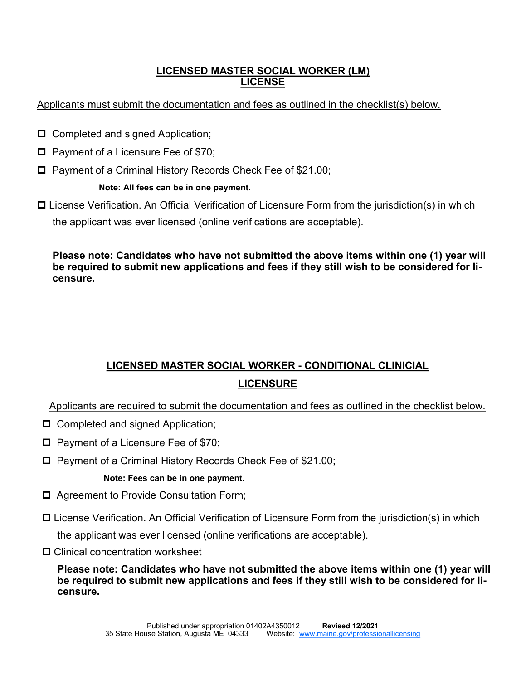#### **LICENSED MASTER SOCIAL WORKER (LM) LICENSE**

#### Applicants must submit the documentation and fees as outlined in the checklist(s) below.

- □ Completed and signed Application;
- $\Box$  Payment of a Licensure Fee of \$70;
- □ Payment of a Criminal History Records Check Fee of \$21.00;

#### **Note: All fees can be in one payment.**

□ License Verification. An Official Verification of Licensure Form from the jurisdiction(s) in which the applicant was ever licensed (online verifications are acceptable).

**Please note: Candidates who have not submitted the above items within one (1) year will be required to submit new applications and fees if they still wish to be considered for licensure.** 

## **LICENSED MASTER SOCIAL WORKER - CONDITIONAL CLINICIAL LICENSURE**

Applicants are required to submit the documentation and fees as outlined in the checklist below.

- □ Completed and signed Application;
- $\Box$  Payment of a Licensure Fee of \$70;
- Payment of a Criminal History Records Check Fee of \$21.00;

#### **Note: Fees can be in one payment.**

- □ Agreement to Provide Consultation Form;
- □ License Verification. An Official Verification of Licensure Form from the jurisdiction(s) in which

the applicant was ever licensed (online verifications are acceptable).

**□** Clinical concentration worksheet

**Please note: Candidates who have not submitted the above items within one (1) year will be required to submit new applications and fees if they still wish to be considered for licensure.**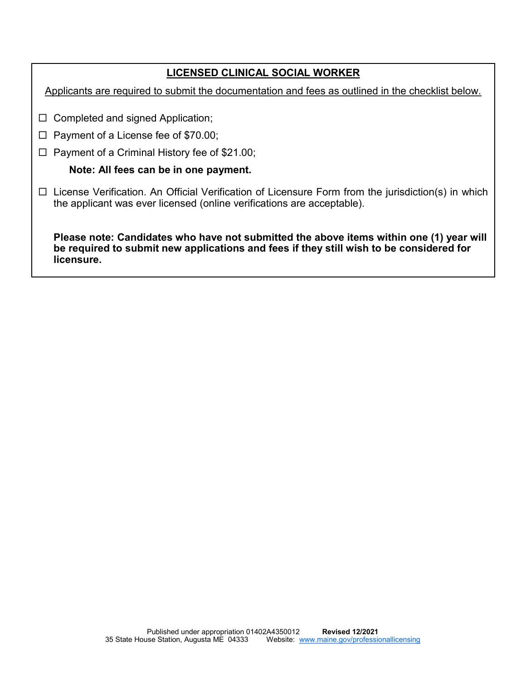#### **LICENSED CLINICAL SOCIAL WORKER**

Applicants are required to submit the documentation and fees as outlined in the checklist below.

- $\Box$  Completed and signed Application;
- $\Box$  Payment of a License fee of \$70.00;
- $\Box$  Payment of a Criminal History fee of \$21.00;

#### **Note: All fees can be in one payment.**

□ License Verification. An Official Verification of Licensure Form from the jurisdiction(s) in which the applicant was ever licensed (online verifications are acceptable).

**Please note: Candidates who have not submitted the above items within one (1) year will be required to submit new applications and fees if they still wish to be considered for licensure.**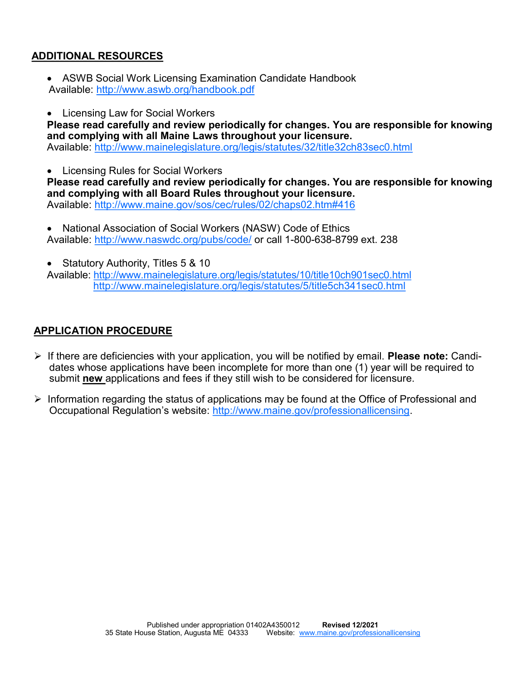#### **ADDITIONAL RESOURCES**

- ASWB Social Work Licensing Examination Candidate Handbook Available:<http://www.aswb.org/handbook.pdf>
- Licensing Law for Social Workers

**Please read carefully and review periodically for changes. You are responsible for knowing and complying with all Maine Laws throughout your licensure.** Available:<http://www.mainelegislature.org/legis/statutes/32/title32ch83sec0.html>

• Licensing Rules for Social Workers

**Please read carefully and review periodically for changes. You are responsible for knowing and complying with all Board Rules throughout your licensure.** Available:<http://www.maine.gov/sos/cec/rules/02/chaps02.htm#416>

• National Association of Social Workers (NASW) Code of Ethics Available:<http://www.naswdc.org/pubs/code/> or call 1-800-638-8799 ext. 238

• Statutory Authority, Titles 5 & 10

Available:<http://www.mainelegislature.org/legis/statutes/10/title10ch901sec0.html> <http://www.mainelegislature.org/legis/statutes/5/title5ch341sec0.html>

#### **APPLICATION PROCEDURE**

- ➢ If there are deficiencies with your application, you will be notified by email. **Please note:** Candidates whose applications have been incomplete for more than one (1) year will be required to submit **new** applications and fees if they still wish to be considered for licensure.
- $\triangleright$  Information regarding the status of applications may be found at the Office of Professional and Occupational Regulation's website: [http://www.maine.gov/professionallicensing.](http://www.maine.gov/professionallicensing)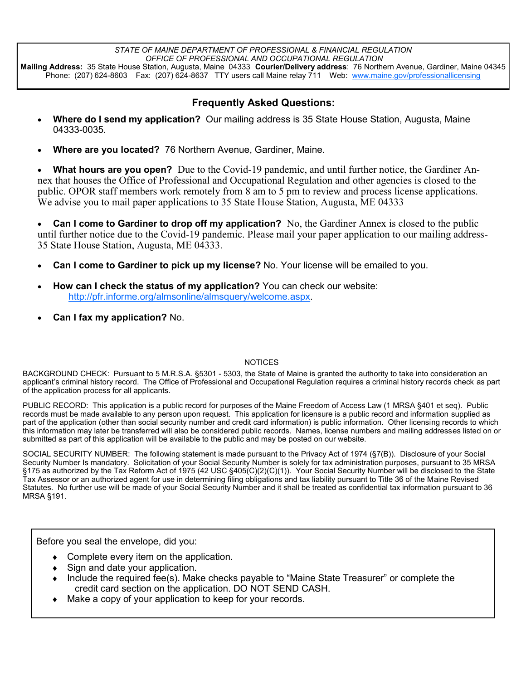*STATE OF MAINE DEPARTMENT OF PROFESSIONAL & FINANCIAL REGULATION OFFICE OF PROFESSIONAL AND OCCUPATIONAL REGULATION* **Mailing Address:** 35 State House Station, Augusta, Maine 04333 **Courier/Delivery address**: 76 Northern Avenue, Gardiner, Maine 04345 Phone: (207) 624-8603 Fax: (207) 624-8637 TTY users call Maine relay 711 Web: [www.maine.gov/professionallicensing](http://www.maine.gov/professionallicensing)

#### **Frequently Asked Questions:**

- **Where do I send my application?** Our mailing address is 35 State House Station, Augusta, Maine 04333-0035.
- **Where are you located?** 76 Northern Avenue, Gardiner, Maine.

• **What hours are you open?** Due to the Covid-19 pandemic, and until further notice, the Gardiner Annex that houses the Office of Professional and Occupational Regulation and other agencies is closed to the public. OPOR staff members work remotely from 8 am to 5 pm to review and process license applications. We advise you to mail paper applications to 35 State House Station, Augusta, ME 04333

• **Can I come to Gardiner to drop off my application?** No, the Gardiner Annex is closed to the public until further notice due to the Covid-19 pandemic. Please mail your paper application to our mailing address-35 State House Station, Augusta, ME 04333.

- **Can I come to Gardiner to pick up my license?** No. Your license will be emailed to you.
- **How can I check the status of my application?** You can check our website: [http://pfr.informe.org/almsonline/almsquery/welcome.aspx.](http://pfr.informe.org/almsonline/almsquery/welcome.aspx)
- **Can I fax my application?** No.

#### **NOTICES**

BACKGROUND CHECK: Pursuant to 5 M.R.S.A. §5301 - 5303, the State of Maine is granted the authority to take into consideration an applicant's criminal history record. The Office of Professional and Occupational Regulation requires a criminal history records check as part of the application process for all applicants.

PUBLIC RECORD: This application is a public record for purposes of the Maine Freedom of Access Law (1 MRSA §401 et seq). Public records must be made available to any person upon request. This application for licensure is a public record and information supplied as part of the application (other than social security number and credit card information) is public information. Other licensing records to which this information may later be transferred will also be considered public records. Names, license numbers and mailing addresses listed on or submitted as part of this application will be available to the public and may be posted on our website.

SOCIAL SECURITY NUMBER: The following statement is made pursuant to the Privacy Act of 1974 (§7(B)). Disclosure of your Social Security Number Is mandatory. Solicitation of your Social Security Number is solely for tax administration purposes, pursuant to 35 MRSA §175 as authorized by the Tax Reform Act of 1975 (42 USC §405(C)(2)(C)(1)). Your Social Security Number will be disclosed to the State Tax Assessor or an authorized agent for use in determining filing obligations and tax liability pursuant to Title 36 of the Maine Revised Statutes. No further use will be made of your Social Security Number and it shall be treated as confidential tax information pursuant to 36 MRSA §191.

Before you seal the envelope, did you:

- Complete every item on the application.
- Sign and date your application.
- Include the required fee(s). Make checks payable to "Maine State Treasurer" or complete the credit card section on the application. DO NOT SEND CASH.
- Make a copy of your application to keep for your records.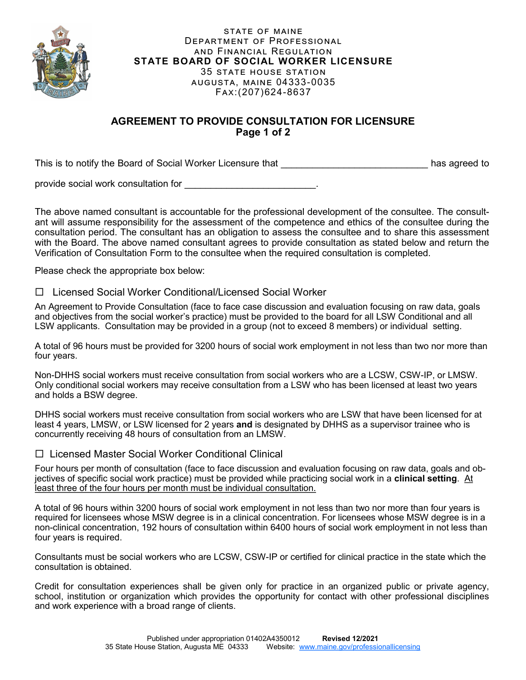

#### STATE OF MAINE DEPARTMENT OF PROFESSIONAL and Financial Regulation **STATE BOARD OF SOCIAL WORKER LICENSURE** 35 state house station augusta, maine 04333-0035 Fax:(207)624-8637

#### **AGREEMENT TO PROVIDE CONSULTATION FOR LICENSURE Page 1 of 2**

This is to notify the Board of Social Worker Licensure that \_\_\_\_\_\_\_\_\_\_\_\_\_\_\_\_\_\_\_\_\_\_\_\_\_\_\_\_ has agreed to

provide social work consultation for

The above named consultant is accountable for the professional development of the consultee. The consultant will assume responsibility for the assessment of the competence and ethics of the consultee during the consultation period. The consultant has an obligation to assess the consultee and to share this assessment with the Board. The above named consultant agrees to provide consultation as stated below and return the Verification of Consultation Form to the consultee when the required consultation is completed.

Please check the appropriate box below:

#### □ Licensed Social Worker Conditional/Licensed Social Worker

An Agreement to Provide Consultation (face to face case discussion and evaluation focusing on raw data, goals and objectives from the social worker's practice) must be provided to the board for all LSW Conditional and all LSW applicants. Consultation may be provided in a group (not to exceed 8 members) or individual setting.

A total of 96 hours must be provided for 3200 hours of social work employment in not less than two nor more than four years.

Non-DHHS social workers must receive consultation from social workers who are a LCSW, CSW-IP, or LMSW. Only conditional social workers may receive consultation from a LSW who has been licensed at least two years and holds a BSW degree.

DHHS social workers must receive consultation from social workers who are LSW that have been licensed for at least 4 years, LMSW, or LSW licensed for 2 years **and** is designated by DHHS as a supervisor trainee who is concurrently receiving 48 hours of consultation from an LMSW.

#### □ Licensed Master Social Worker Conditional Clinical

Four hours per month of consultation (face to face discussion and evaluation focusing on raw data, goals and objectives of specific social work practice) must be provided while practicing social work in a **clinical setting**. At least three of the four hours per month must be individual consultation.

A total of 96 hours within 3200 hours of social work employment in not less than two nor more than four years is required for licensees whose MSW degree is in a clinical concentration. For licensees whose MSW degree is in a non-clinical concentration, 192 hours of consultation within 6400 hours of social work employment in not less than four years is required.

Consultants must be social workers who are LCSW, CSW-IP or certified for clinical practice in the state which the consultation is obtained.

Credit for consultation experiences shall be given only for practice in an organized public or private agency, school, institution or organization which provides the opportunity for contact with other professional disciplines and work experience with a broad range of clients.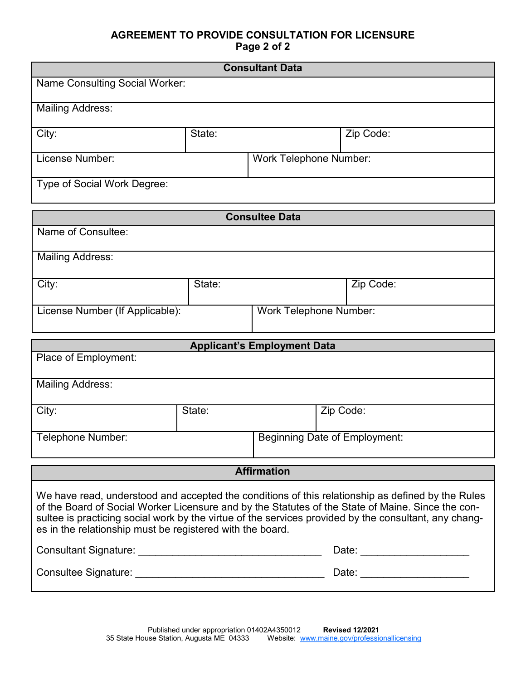#### **AGREEMENT TO PROVIDE CONSULTATION FOR LICENSURE Page 2 of 2**

| <b>Consultant Data</b>         |        |                               |           |  |
|--------------------------------|--------|-------------------------------|-----------|--|
| Name Consulting Social Worker: |        |                               |           |  |
| <b>Mailing Address:</b>        |        |                               |           |  |
| City:                          | State: |                               | Zip Code: |  |
| License Number:                |        | <b>Work Telephone Number:</b> |           |  |
| Type of Social Work Degree:    |        |                               |           |  |

| <b>Consultee Data</b>           |        |                               |           |  |
|---------------------------------|--------|-------------------------------|-----------|--|
| Name of Consultee:              |        |                               |           |  |
| <b>Mailing Address:</b>         |        |                               |           |  |
| City:                           | State: |                               | Zip Code: |  |
| License Number (If Applicable): |        | <b>Work Telephone Number:</b> |           |  |

| <b>Applicant's Employment Data</b>                                                                                                                                                                                                                                                                                                                                           |        |                               |           |  |
|------------------------------------------------------------------------------------------------------------------------------------------------------------------------------------------------------------------------------------------------------------------------------------------------------------------------------------------------------------------------------|--------|-------------------------------|-----------|--|
| Place of Employment:                                                                                                                                                                                                                                                                                                                                                         |        |                               |           |  |
|                                                                                                                                                                                                                                                                                                                                                                              |        |                               |           |  |
| <b>Mailing Address:</b>                                                                                                                                                                                                                                                                                                                                                      |        |                               |           |  |
| City:                                                                                                                                                                                                                                                                                                                                                                        | State: |                               | Zip Code: |  |
|                                                                                                                                                                                                                                                                                                                                                                              |        |                               |           |  |
| Telephone Number:                                                                                                                                                                                                                                                                                                                                                            |        | Beginning Date of Employment: |           |  |
|                                                                                                                                                                                                                                                                                                                                                                              |        |                               |           |  |
|                                                                                                                                                                                                                                                                                                                                                                              |        | <b>Affirmation</b>            |           |  |
|                                                                                                                                                                                                                                                                                                                                                                              |        |                               |           |  |
| We have read, understood and accepted the conditions of this relationship as defined by the Rules<br>of the Board of Social Worker Licensure and by the Statutes of the State of Maine. Since the con-<br>sultee is practicing social work by the virtue of the services provided by the consultant, any chang-<br>es in the relationship must be registered with the board. |        |                               |           |  |
|                                                                                                                                                                                                                                                                                                                                                                              |        |                               |           |  |

| <b>Consultant Signature:</b> | Date: |
|------------------------------|-------|
| <b>Consultee Signature:</b>  | Date: |